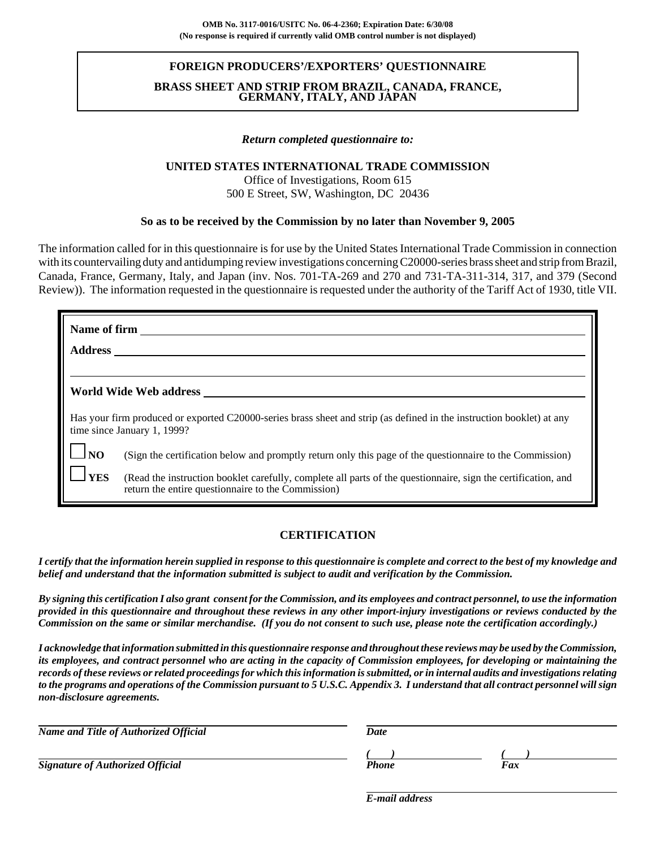## **FOREIGN PRODUCERS'/EXPORTERS' QUESTIONNAIRE**

### **BRASS SHEET AND STRIP FROM BRAZIL, CANADA, FRANCE, GERMANY, ITALY, AND JAPAN**

#### *Return completed questionnaire to:*

### **UNITED STATES INTERNATIONAL TRADE COMMISSION**

Office of Investigations, Room 615 500 E Street, SW, Washington, DC 20436

#### **So as to be received by the Commission by no later than November 9, 2005**

The information called for in this questionnaire is for use by the United States International Trade Commission in connection with its countervailing duty and antidumping review investigations concerning C20000-series brass sheet and strip from Brazil, Canada, France, Germany, Italy, and Japan (inv. Nos. 701-TA-269 and 270 and 731-TA-311-314, 317, and 379 (Second Review)). The information requested in the questionnaire is requested under the authority of the Tariff Act of 1930, title VII.

|                | <b>Name of firm</b>                                                                                                                                                 |
|----------------|---------------------------------------------------------------------------------------------------------------------------------------------------------------------|
| <b>Address</b> |                                                                                                                                                                     |
|                |                                                                                                                                                                     |
|                | World Wide Web address                                                                                                                                              |
|                | Has your firm produced or exported C20000-series brass sheet and strip (as defined in the instruction booklet) at any<br>time since January 1, 1999?                |
| NO             | (Sign the certification below and promptly return only this page of the questionnaire to the Commission)                                                            |
| <b>YES</b>     | (Read the instruction booklet carefully, complete all parts of the questionnaire, sign the certification, and<br>return the entire questionnaire to the Commission) |

#### **CERTIFICATION**

*I certify that the information herein supplied in response to this questionnaire is complete and correct to the best of my knowledge and belief and understand that the information submitted is subject to audit and verification by the Commission.*

*By signing this certification I also grant consent for the Commission, and its employees and contract personnel, to use the information provided in this questionnaire and throughout these reviews in any other import-injury investigations or reviews conducted by the Commission on the same or similar merchandise. (If you do not consent to such use, please note the certification accordingly.)*

*I acknowledge that information submitted in this questionnaire response and throughout these reviews may be used by the Commission, its employees, and contract personnel who are acting in the capacity of Commission employees, for developing or maintaining the records of these reviews or related proceedings for which this information is submitted, or in internal audits and investigations relating to the programs and operations of the Commission pursuant to 5 U.S.C. Appendix 3. I understand that all contract personnel will sign non-disclosure agreements.*

| <b>Name and Title of Authorized Official</b> | Date  |     |  |
|----------------------------------------------|-------|-----|--|
|                                              |       |     |  |
| <b>Signature of Authorized Official</b>      | Phone | Fax |  |

*E-mail address*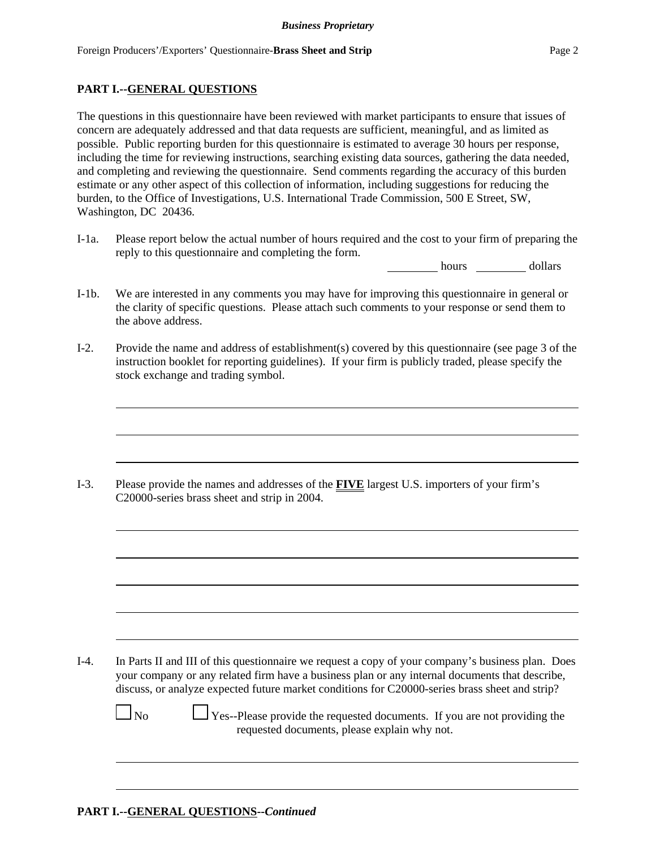## **PART I.--GENERAL QUESTIONS**

The questions in this questionnaire have been reviewed with market participants to ensure that issues of concern are adequately addressed and that data requests are sufficient, meaningful, and as limited as possible. Public reporting burden for this questionnaire is estimated to average 30 hours per response, including the time for reviewing instructions, searching existing data sources, gathering the data needed, and completing and reviewing the questionnaire. Send comments regarding the accuracy of this burden estimate or any other aspect of this collection of information, including suggestions for reducing the burden, to the Office of Investigations, U.S. International Trade Commission, 500 E Street, SW, Washington, DC 20436.

I-1a. Please report below the actual number of hours required and the cost to your firm of preparing the reply to this questionnaire and completing the form.

hours dollars

- I-1b. We are interested in any comments you may have for improving this questionnaire in general or the clarity of specific questions. Please attach such comments to your response or send them to the above address.
- I-2. Provide the name and address of establishment(s) covered by this questionnaire (see page 3 of the instruction booklet for reporting guidelines). If your firm is publicly traded, please specify the stock exchange and trading symbol.

I-3. Please provide the names and addresses of the **FIVE** largest U.S. importers of your firm's C20000-series brass sheet and strip in 2004.

I-4. In Parts II and III of this questionnaire we request a copy of your company's business plan. Does your company or any related firm have a business plan or any internal documents that describe, discuss, or analyze expected future market conditions for C20000-series brass sheet and strip?

 $\Box$  No  $\Box$  Yes--Please provide the requested documents. If you are not providing the requested documents, please explain why not.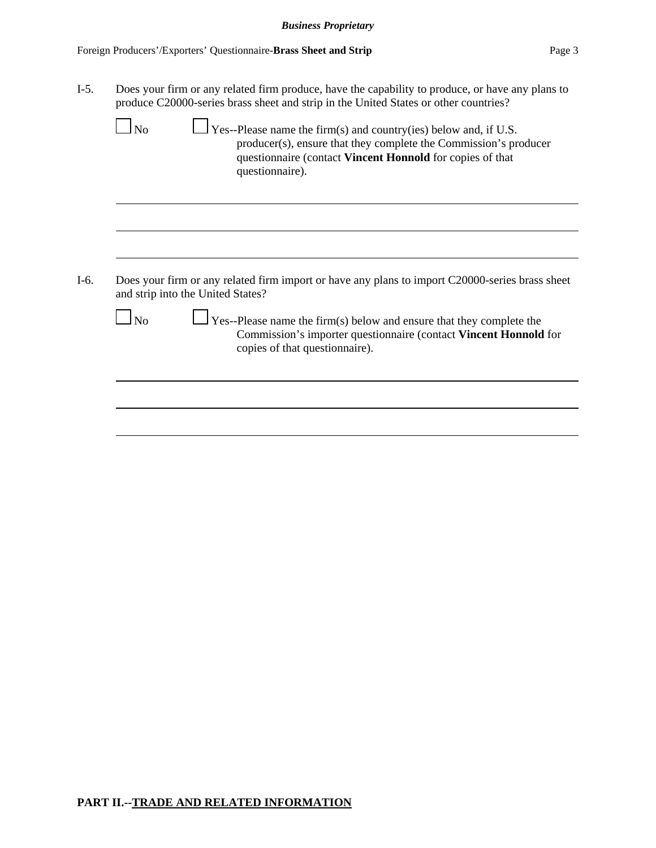|           | Does your firm or any related firm produce, have the capability to produce, or have any plans to<br>produce C20000-series brass sheet and strip in the United States or other countries?                                    |
|-----------|-----------------------------------------------------------------------------------------------------------------------------------------------------------------------------------------------------------------------------|
| $\Box$ No | $\Box$ Yes--Please name the firm(s) and country(ies) below and, if U.S.<br>producer(s), ensure that they complete the Commission's producer<br>questionnaire (contact Vincent Honnold for copies of that<br>questionnaire). |
|           |                                                                                                                                                                                                                             |
|           |                                                                                                                                                                                                                             |
|           |                                                                                                                                                                                                                             |
|           | Does your firm or any related firm import or have any plans to import C20000-series brass sheet<br>and strip into the United States?                                                                                        |
| No        | $\sqrt{\text{Yes--Please}}$ name the firm(s) below and ensure that they complete the<br>Commission's importer questionnaire (contact Vincent Honnold for<br>copies of that questionnaire).                                  |
|           |                                                                                                                                                                                                                             |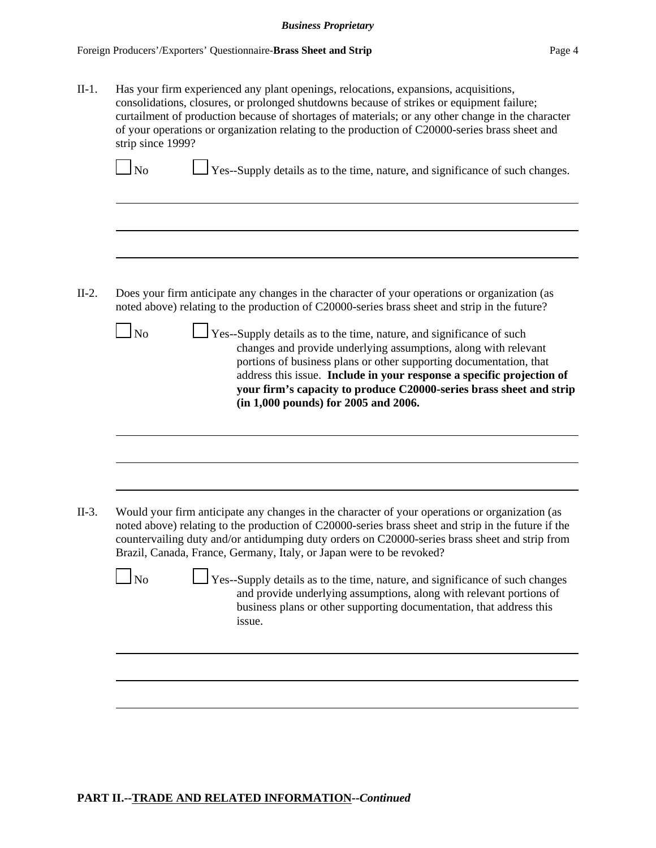II-1. Has your firm experienced any plant openings, relocations, expansions, acquisitions, consolidations, closures, or prolonged shutdowns because of strikes or equipment failure; curtailment of production because of shortages of materials; or any other change in the character of your operations or organization relating to the production of C20000-series brass sheet and strip since 1999?

 $\Box$  Yes--Supply details as to the time, nature, and significance of such changes.

- II-2. Does your firm anticipate any changes in the character of your operations or organization (as noted above) relating to the production of C20000-series brass sheet and strip in the future?
	- $\Box$  No  $\Box$  Yes--Supply details as to the time, nature, and significance of such changes and provide underlying assumptions, along with relevant portions of business plans or other supporting documentation, that address this issue. **Include in your response a specific projection of your firm's capacity to produce C20000-series brass sheet and strip (in 1,000 pounds) for 2005 and 2006.**

- II-3. Would your firm anticipate any changes in the character of your operations or organization (as noted above) relating to the production of C20000-series brass sheet and strip in the future if the countervailing duty and/or antidumping duty orders on C20000-series brass sheet and strip from Brazil, Canada, France, Germany, Italy, or Japan were to be revoked?
	- $\Box$  No  $\Box$  Yes--Supply details as to the time, nature, and significance of such changes and provide underlying assumptions, along with relevant portions of business plans or other supporting documentation, that address this issue.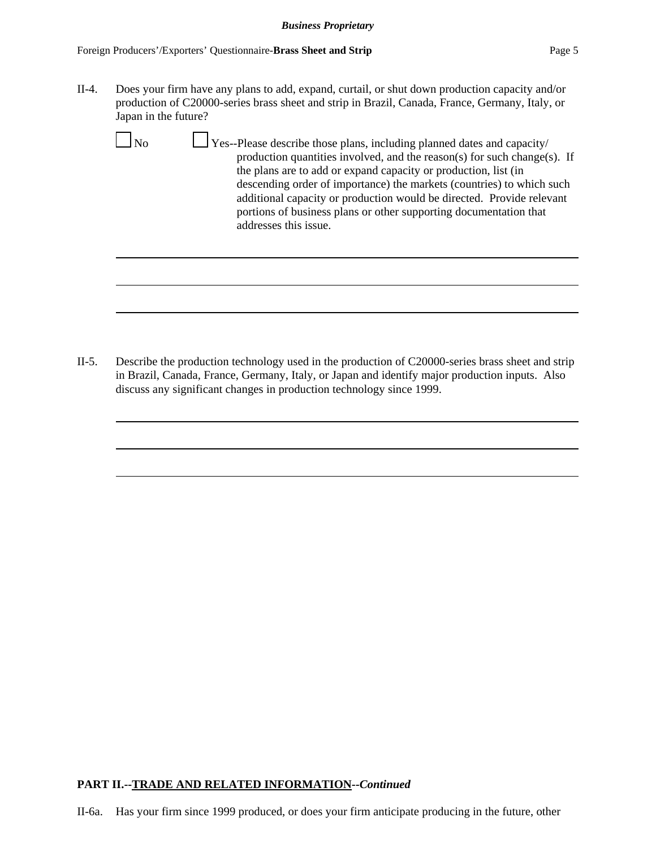II-4. Does your firm have any plans to add, expand, curtail, or shut down production capacity and/or production of C20000-series brass sheet and strip in Brazil, Canada, France, Germany, Italy, or Japan in the future?

|--|--|--|

 $\Box$  Yes--Please describe those plans, including planned dates and capacity/ production quantities involved, and the reason(s) for such change(s). If the plans are to add or expand capacity or production, list (in descending order of importance) the markets (countries) to which such additional capacity or production would be directed. Provide relevant portions of business plans or other supporting documentation that addresses this issue.

II-5. Describe the production technology used in the production of C20000-series brass sheet and strip in Brazil, Canada, France, Germany, Italy, or Japan and identify major production inputs. Also discuss any significant changes in production technology since 1999.

# **PART II.--TRADE AND RELATED INFORMATION--***Continued*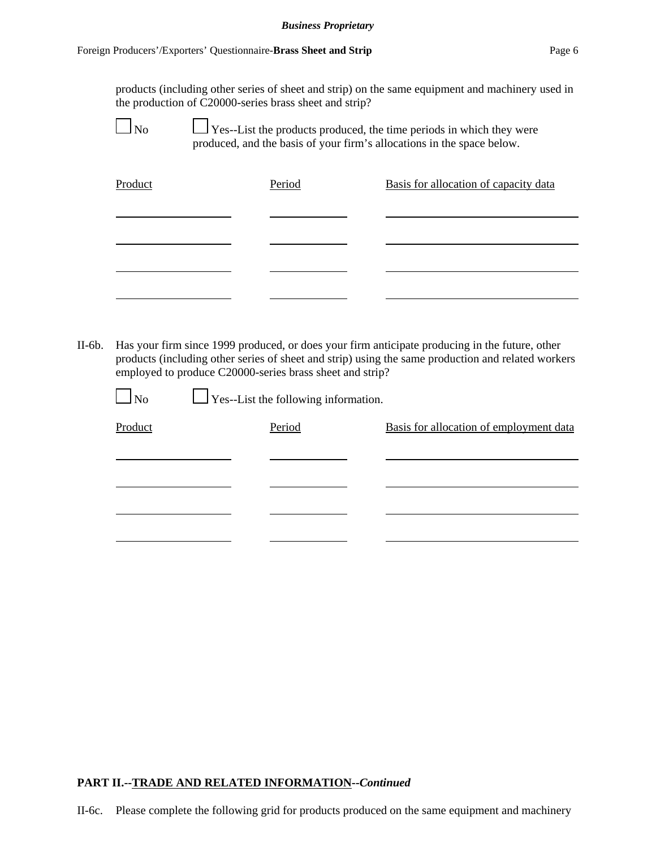products (including other series of sheet and strip) on the same equipment and machinery used in the production of C20000-series brass sheet and strip?

|--|

 $\perp$  Yes--List the products produced, the time periods in which they were produced, and the basis of your firm's allocations in the space below.

| Product | Period | Basis for allocation of capacity data |
|---------|--------|---------------------------------------|
|         |        |                                       |
|         |        |                                       |
|         |        |                                       |

II-6b. Has your firm since 1999 produced, or does your firm anticipate producing in the future, other products (including other series of sheet and strip) using the same production and related workers employed to produce C20000-series brass sheet and strip?

| $\Box$ No | $\Box$ Yes--List the following information. |                                         |
|-----------|---------------------------------------------|-----------------------------------------|
| Product   | Period                                      | Basis for allocation of employment data |
|           |                                             |                                         |
|           |                                             |                                         |
|           |                                             |                                         |
|           |                                             |                                         |
|           |                                             |                                         |

# **PART II.--TRADE AND RELATED INFORMATION--***Continued*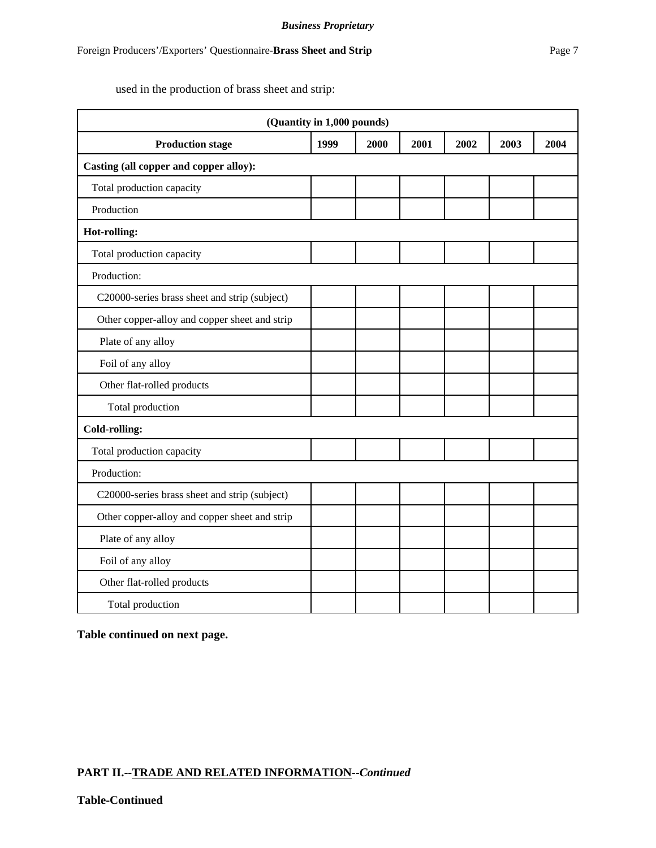used in the production of brass sheet and strip:

|                                               | (Quantity in 1,000 pounds) |      |      |      |      |      |
|-----------------------------------------------|----------------------------|------|------|------|------|------|
| <b>Production stage</b>                       | 1999                       | 2000 | 2001 | 2002 | 2003 | 2004 |
| Casting (all copper and copper alloy):        |                            |      |      |      |      |      |
| Total production capacity                     |                            |      |      |      |      |      |
| Production                                    |                            |      |      |      |      |      |
| Hot-rolling:                                  |                            |      |      |      |      |      |
| Total production capacity                     |                            |      |      |      |      |      |
| Production:                                   |                            |      |      |      |      |      |
| C20000-series brass sheet and strip (subject) |                            |      |      |      |      |      |
| Other copper-alloy and copper sheet and strip |                            |      |      |      |      |      |
| Plate of any alloy                            |                            |      |      |      |      |      |
| Foil of any alloy                             |                            |      |      |      |      |      |
| Other flat-rolled products                    |                            |      |      |      |      |      |
| Total production                              |                            |      |      |      |      |      |
| <b>Cold-rolling:</b>                          |                            |      |      |      |      |      |
| Total production capacity                     |                            |      |      |      |      |      |
| Production:                                   |                            |      |      |      |      |      |
| C20000-series brass sheet and strip (subject) |                            |      |      |      |      |      |
| Other copper-alloy and copper sheet and strip |                            |      |      |      |      |      |
| Plate of any alloy                            |                            |      |      |      |      |      |
| Foil of any alloy                             |                            |      |      |      |      |      |
| Other flat-rolled products                    |                            |      |      |      |      |      |
| Total production                              |                            |      |      |      |      |      |

**Table continued on next page.**

## **PART II.--TRADE AND RELATED INFORMATION--***Continued*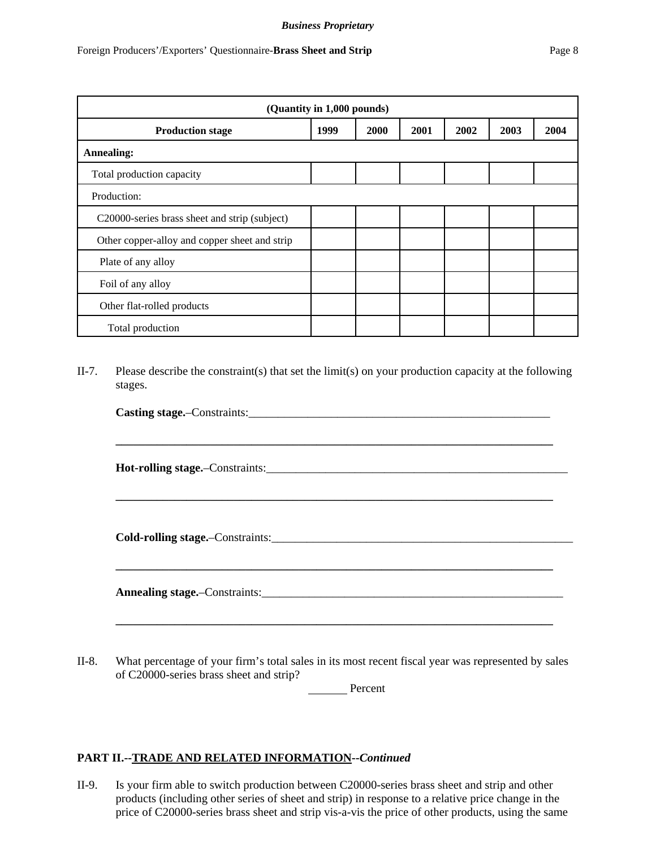|                                               | (Quantity in 1,000 pounds) |      |      |      |      |      |
|-----------------------------------------------|----------------------------|------|------|------|------|------|
| <b>Production stage</b>                       | 1999                       | 2000 | 2001 | 2002 | 2003 | 2004 |
| <b>Annealing:</b>                             |                            |      |      |      |      |      |
| Total production capacity                     |                            |      |      |      |      |      |
| Production:                                   |                            |      |      |      |      |      |
| C20000-series brass sheet and strip (subject) |                            |      |      |      |      |      |
| Other copper-alloy and copper sheet and strip |                            |      |      |      |      |      |
|                                               |                            |      |      |      |      |      |

II-7. Please describe the constraint(s) that set the limit(s) on your production capacity at the following stages.

| Casting stage.-Constraints: |  |  |
|-----------------------------|--|--|
|                             |  |  |
|                             |  |  |
|                             |  |  |

**\_\_\_\_\_\_\_\_\_\_\_\_\_\_\_\_\_\_\_\_\_\_\_\_\_\_\_\_\_\_\_\_\_\_\_\_\_\_\_\_\_\_\_\_\_\_\_\_\_\_\_\_\_\_\_\_\_\_\_\_\_\_\_\_\_\_\_\_\_\_\_\_\_\_**

**\_\_\_\_\_\_\_\_\_\_\_\_\_\_\_\_\_\_\_\_\_\_\_\_\_\_\_\_\_\_\_\_\_\_\_\_\_\_\_\_\_\_\_\_\_\_\_\_\_\_\_\_\_\_\_\_\_\_\_\_\_\_\_\_\_\_\_\_\_\_\_\_\_\_**

**\_\_\_\_\_\_\_\_\_\_\_\_\_\_\_\_\_\_\_\_\_\_\_\_\_\_\_\_\_\_\_\_\_\_\_\_\_\_\_\_\_\_\_\_\_\_\_\_\_\_\_\_\_\_\_\_\_\_\_\_\_\_\_\_\_\_\_\_\_\_\_\_\_\_**

**Hot-rolling stage.**–Constraints:\_\_\_\_\_\_\_\_\_\_\_\_\_\_\_\_\_\_\_\_\_\_\_\_\_\_\_\_\_\_\_\_\_\_\_\_\_\_\_\_\_\_\_\_\_\_\_\_\_\_\_

Plate of any alloy

Foil of any alloy

Other flat-rolled products

Total production

**Cold-rolling stage.**–Constraints:\_\_\_\_\_\_\_\_\_\_\_\_\_\_\_\_\_\_\_\_\_\_\_\_\_\_\_\_\_\_\_\_\_\_\_\_\_\_\_\_\_\_\_\_\_\_\_\_\_\_\_

**Annealing stage.**–Constraints:\_\_\_\_\_\_\_\_\_\_\_\_\_\_\_\_\_\_\_\_\_\_\_\_\_\_\_\_\_\_\_\_\_\_\_\_\_\_\_\_\_\_\_\_\_\_\_\_\_\_\_

II-8. What percentage of your firm's total sales in its most recent fiscal year was represented by sales of C20000-series brass sheet and strip?

Percent

## **PART II.--TRADE AND RELATED INFORMATION--***Continued*

II-9. Is your firm able to switch production between C20000-series brass sheet and strip and other products (including other series of sheet and strip) in response to a relative price change in the price of C20000-series brass sheet and strip vis-a-vis the price of other products, using the same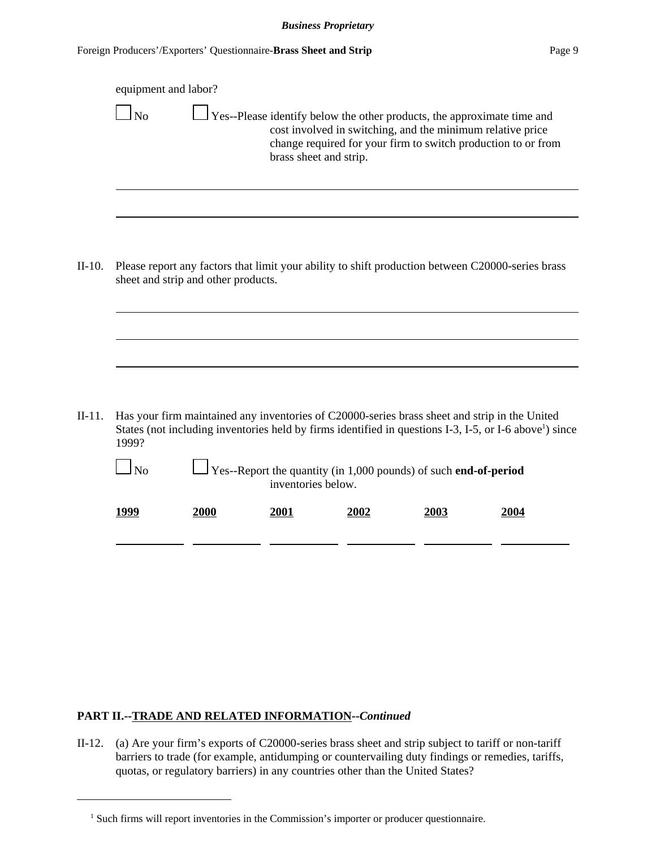|          | equipment and labor?<br>$\log$ |                                                                                                                                          | brass sheet and strip. | Yes--Please identify below the other products, the approximate time and<br>cost involved in switching, and the minimum relative price<br>change required for your firm to switch production to or from |             |                                                                                                                     |
|----------|--------------------------------|------------------------------------------------------------------------------------------------------------------------------------------|------------------------|--------------------------------------------------------------------------------------------------------------------------------------------------------------------------------------------------------|-------------|---------------------------------------------------------------------------------------------------------------------|
|          |                                |                                                                                                                                          |                        |                                                                                                                                                                                                        |             |                                                                                                                     |
| $II-10.$ |                                | Please report any factors that limit your ability to shift production between C20000-series brass<br>sheet and strip and other products. |                        |                                                                                                                                                                                                        |             |                                                                                                                     |
|          |                                |                                                                                                                                          |                        |                                                                                                                                                                                                        |             |                                                                                                                     |
|          |                                |                                                                                                                                          |                        |                                                                                                                                                                                                        |             |                                                                                                                     |
| $II-11.$ | 1999?                          | Has your firm maintained any inventories of C20000-series brass sheet and strip in the United                                            |                        |                                                                                                                                                                                                        |             | States (not including inventories held by firms identified in questions I-3, I-5, or I-6 above <sup>1</sup> ) since |
|          | $\Box$ No                      |                                                                                                                                          | inventories below.     | $\frac{1}{2}$ Yes--Report the quantity (in 1,000 pounds) of such end-of-period                                                                                                                         |             |                                                                                                                     |
|          | <u>1999</u>                    | <b>2000</b>                                                                                                                              | 2001                   | 2002                                                                                                                                                                                                   | <u>2003</u> | 2004                                                                                                                |
|          |                                |                                                                                                                                          |                        |                                                                                                                                                                                                        |             |                                                                                                                     |

## **PART II.--TRADE AND RELATED INFORMATION--***Continued*

II-12. (a) Are your firm's exports of C20000-series brass sheet and strip subject to tariff or non-tariff barriers to trade (for example, antidumping or countervailing duty findings or remedies, tariffs, quotas, or regulatory barriers) in any countries other than the United States?

<sup>&</sup>lt;sup>1</sup> Such firms will report inventories in the Commission's importer or producer questionnaire.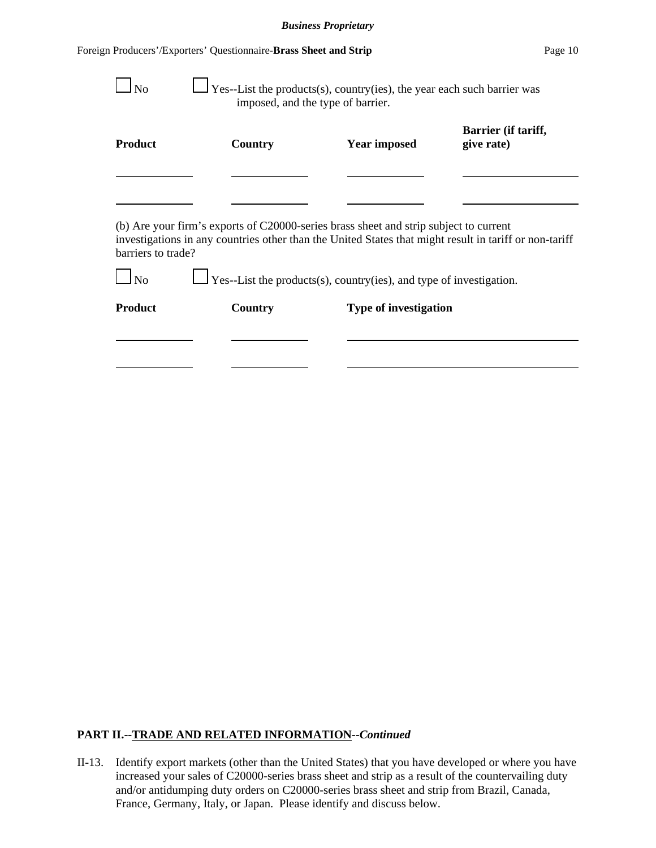| <b>Product</b>                       | Country | <b>Year imposed</b>                                                                                                                                                                             | Barrier (if tariff,<br>give rate) |
|--------------------------------------|---------|-------------------------------------------------------------------------------------------------------------------------------------------------------------------------------------------------|-----------------------------------|
|                                      |         |                                                                                                                                                                                                 |                                   |
|                                      |         |                                                                                                                                                                                                 |                                   |
|                                      |         | (b) Are your firm's exports of C20000-series brass sheet and strip subject to current<br>investigations in any countries other than the United States that might result in tariff or non-tariff |                                   |
| barriers to trade?<br>N <sub>0</sub> |         | $\Box$ Yes--List the products(s), country(ies), and type of investigation.                                                                                                                      |                                   |

## **PART II.--TRADE AND RELATED INFORMATION--***Continued*

II-13. Identify export markets (other than the United States) that you have developed or where you have increased your sales of C20000-series brass sheet and strip as a result of the countervailing duty and/or antidumping duty orders on C20000-series brass sheet and strip from Brazil, Canada, France, Germany, Italy, or Japan. Please identify and discuss below.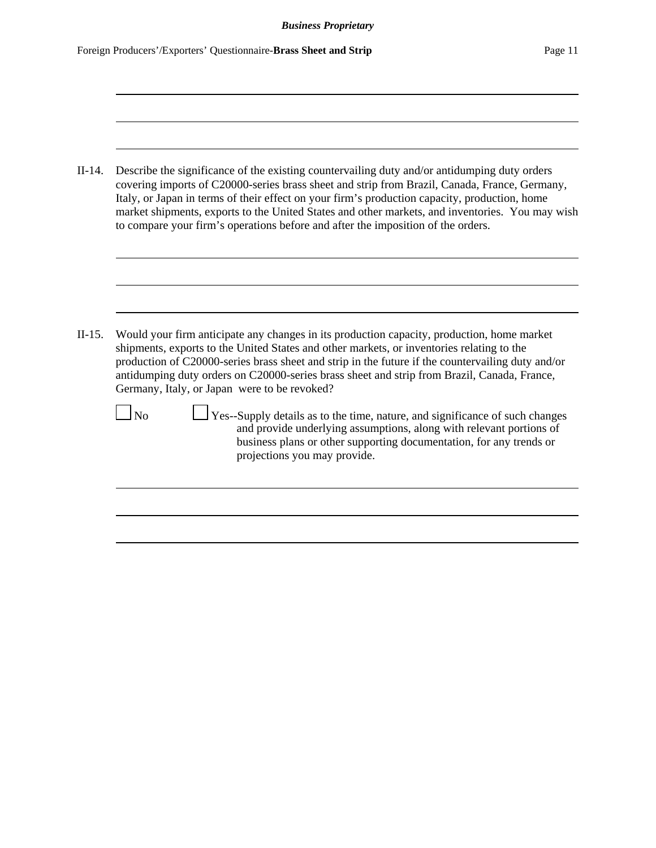|                | Describe the significance of the existing countervailing duty and/or antidumping duty orders<br>covering imports of C20000-series brass sheet and strip from Brazil, Canada, France, Germany,<br>Italy, or Japan in terms of their effect on your firm's production capacity, production, home<br>market shipments, exports to the United States and other markets, and inventories. You may wish<br>to compare your firm's operations before and after the imposition of the orders. |
|----------------|---------------------------------------------------------------------------------------------------------------------------------------------------------------------------------------------------------------------------------------------------------------------------------------------------------------------------------------------------------------------------------------------------------------------------------------------------------------------------------------|
|                |                                                                                                                                                                                                                                                                                                                                                                                                                                                                                       |
|                | Would your firm anticipate any changes in its production capacity, production, home market<br>shipments, exports to the United States and other markets, or inventories relating to the<br>production of C20000-series brass sheet and strip in the future if the countervailing duty and/or<br>antidumping duty orders on C20000-series brass sheet and strip from Brazil, Canada, France,<br>Germany, Italy, or Japan were to be revoked?                                           |
| N <sub>0</sub> | $\Box$ Yes--Supply details as to the time, nature, and significance of such changes<br>and provide underlying assumptions, along with relevant portions of<br>business plans or other supporting documentation, for any trends or<br>projections you may provide.                                                                                                                                                                                                                     |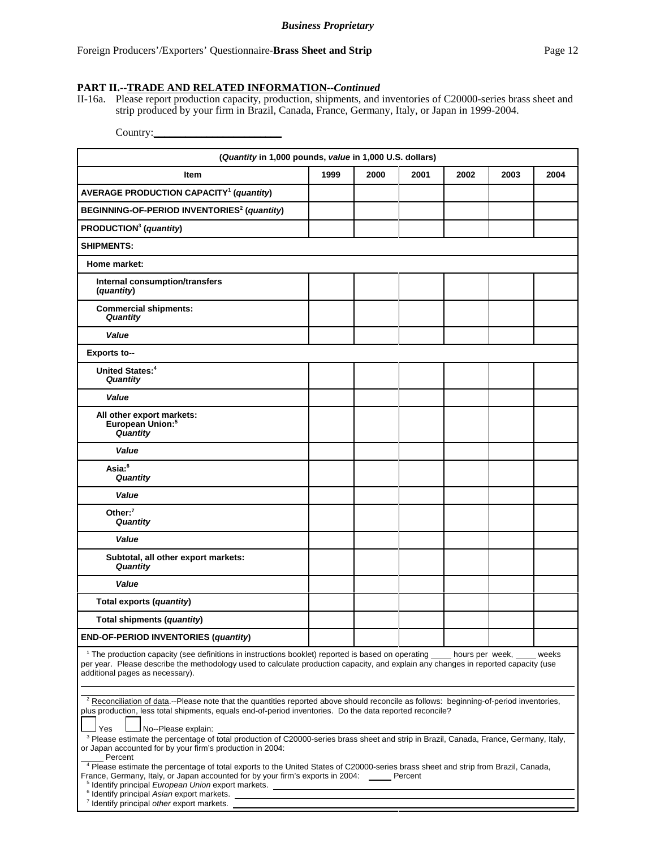### **PART II.--TRADE AND RELATED INFORMATION--***Continued*

II-16a. Please report production capacity, production, shipments, and inventories of C20000-series brass sheet and strip produced by your firm in Brazil, Canada, France, Germany, Italy, or Japan in 1999-2004.

Country:

| (Quantity in 1,000 pounds, value in 1,000 U.S. dollars)                                                                                                                                                                                                                                                                                                                                                                                           |      |      |      |      |      |      |
|---------------------------------------------------------------------------------------------------------------------------------------------------------------------------------------------------------------------------------------------------------------------------------------------------------------------------------------------------------------------------------------------------------------------------------------------------|------|------|------|------|------|------|
| <b>Item</b>                                                                                                                                                                                                                                                                                                                                                                                                                                       | 1999 | 2000 | 2001 | 2002 | 2003 | 2004 |
| <b>AVERAGE PRODUCTION CAPACITY<sup>1</sup> (quantity)</b>                                                                                                                                                                                                                                                                                                                                                                                         |      |      |      |      |      |      |
| BEGINNING-OF-PERIOD INVENTORIES <sup>2</sup> (quantity)                                                                                                                                                                                                                                                                                                                                                                                           |      |      |      |      |      |      |
| PRODUCTION <sup>3</sup> (quantity)                                                                                                                                                                                                                                                                                                                                                                                                                |      |      |      |      |      |      |
| <b>SHIPMENTS:</b>                                                                                                                                                                                                                                                                                                                                                                                                                                 |      |      |      |      |      |      |
| Home market:                                                                                                                                                                                                                                                                                                                                                                                                                                      |      |      |      |      |      |      |
| Internal consumption/transfers<br>(quantity)                                                                                                                                                                                                                                                                                                                                                                                                      |      |      |      |      |      |      |
| <b>Commercial shipments:</b><br>Quantity                                                                                                                                                                                                                                                                                                                                                                                                          |      |      |      |      |      |      |
| Value                                                                                                                                                                                                                                                                                                                                                                                                                                             |      |      |      |      |      |      |
| <b>Exports to--</b>                                                                                                                                                                                                                                                                                                                                                                                                                               |      |      |      |      |      |      |
| United States: <sup>4</sup><br>Quantity                                                                                                                                                                                                                                                                                                                                                                                                           |      |      |      |      |      |      |
| Value                                                                                                                                                                                                                                                                                                                                                                                                                                             |      |      |      |      |      |      |
| All other export markets:<br>European Union: <sup>5</sup><br>Quantity                                                                                                                                                                                                                                                                                                                                                                             |      |      |      |      |      |      |
| Value                                                                                                                                                                                                                                                                                                                                                                                                                                             |      |      |      |      |      |      |
| Asia: <sup>6</sup><br>Quantity                                                                                                                                                                                                                                                                                                                                                                                                                    |      |      |      |      |      |      |
| Value                                                                                                                                                                                                                                                                                                                                                                                                                                             |      |      |      |      |      |      |
| Other: $7$<br>Quantity                                                                                                                                                                                                                                                                                                                                                                                                                            |      |      |      |      |      |      |
| Value                                                                                                                                                                                                                                                                                                                                                                                                                                             |      |      |      |      |      |      |
| Subtotal, all other export markets:<br>Quantity                                                                                                                                                                                                                                                                                                                                                                                                   |      |      |      |      |      |      |
| Value                                                                                                                                                                                                                                                                                                                                                                                                                                             |      |      |      |      |      |      |
| Total exports (quantity)                                                                                                                                                                                                                                                                                                                                                                                                                          |      |      |      |      |      |      |
| Total shipments (quantity)                                                                                                                                                                                                                                                                                                                                                                                                                        |      |      |      |      |      |      |
| <b>END-OF-PERIOD INVENTORIES (quantity)</b>                                                                                                                                                                                                                                                                                                                                                                                                       |      |      |      |      |      |      |
| <sup>1</sup> The production capacity (see definitions in instructions booklet) reported is based on operating _____ hours per week, __<br>weeks<br>per year. Please describe the methodology used to calculate production capacity, and explain any changes in reported capacity (use<br>additional pages as necessary).                                                                                                                          |      |      |      |      |      |      |
| <sup>2</sup> Reconciliation of data.--Please note that the quantities reported above should reconcile as follows: beginning-of-period inventories,<br>plus production, less total shipments, equals end-of-period inventories. Do the data reported reconcile?<br>Yes<br>No--Please explain:<br><sup>3</sup> Please estimate the percentage of total production of C20000-series brass sheet and strip in Brazil, Canada, France, Germany, Italy, |      |      |      |      |      |      |
| or Japan accounted for by your firm's production in 2004:<br>Percent<br><sup>4</sup> Please estimate the percentage of total exports to the United States of C20000-series brass sheet and strip from Brazil, Canada,<br>France, Germany, Italy, or Japan accounted for by your firm's exports in 2004: _____ Percent<br><sup>5</sup> Identify principal European Union export markets.                                                           |      |      |      |      |      |      |
| <sup>6</sup> Identify principal Asian export markets.<br>7 Identify principal other export markets.                                                                                                                                                                                                                                                                                                                                               |      |      |      |      |      |      |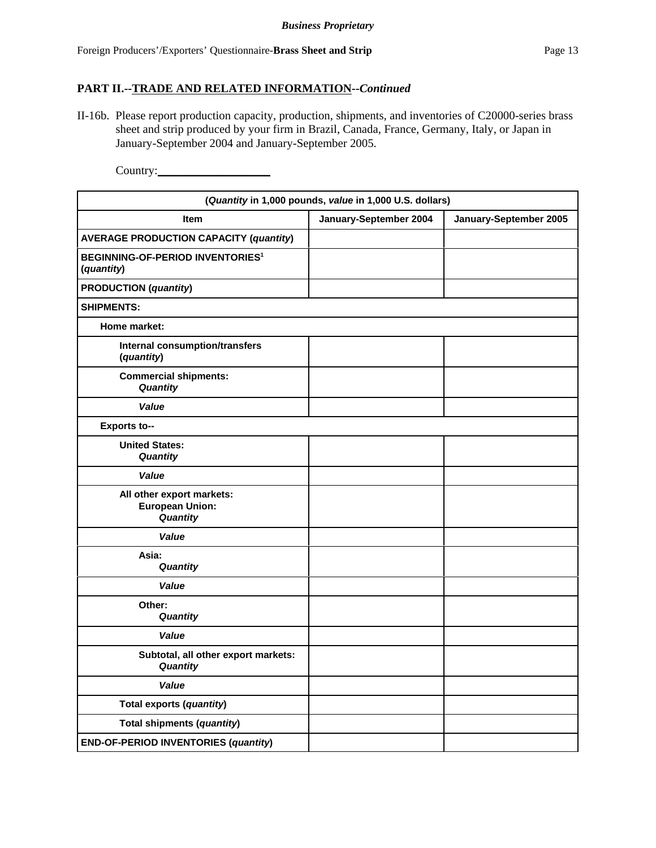II-16b. Please report production capacity, production, shipments, and inventories of C20000-series brass sheet and strip produced by your firm in Brazil, Canada, France, Germany, Italy, or Japan in January-September 2004 and January-September 2005.

Country:\_\_\_\_\_\_\_\_\_\_\_\_\_\_\_\_\_\_\_

| (Quantity in 1,000 pounds, value in 1,000 U.S. dollars)          |                        |                        |
|------------------------------------------------------------------|------------------------|------------------------|
| <b>Item</b>                                                      | January-September 2004 | January-September 2005 |
| <b>AVERAGE PRODUCTION CAPACITY (quantity)</b>                    |                        |                        |
| <b>BEGINNING-OF-PERIOD INVENTORIES<sup>1</sup></b><br>(quantity) |                        |                        |
| <b>PRODUCTION</b> (quantity)                                     |                        |                        |
| <b>SHIPMENTS:</b>                                                |                        |                        |
| Home market:                                                     |                        |                        |
| Internal consumption/transfers<br>(quantity)                     |                        |                        |
| <b>Commercial shipments:</b><br>Quantity                         |                        |                        |
| Value                                                            |                        |                        |
| <b>Exports to--</b>                                              |                        |                        |
| <b>United States:</b><br>Quantity                                |                        |                        |
| Value                                                            |                        |                        |
| All other export markets:<br><b>European Union:</b><br>Quantity  |                        |                        |
| Value                                                            |                        |                        |
| Asia:<br>Quantity                                                |                        |                        |
| Value                                                            |                        |                        |
| Other:<br>Quantity                                               |                        |                        |
| Value                                                            |                        |                        |
| Subtotal, all other export markets:<br>Quantity                  |                        |                        |
| Value                                                            |                        |                        |
| Total exports (quantity)                                         |                        |                        |
| Total shipments (quantity)                                       |                        |                        |
| <b>END-OF-PERIOD INVENTORIES (quantity)</b>                      |                        |                        |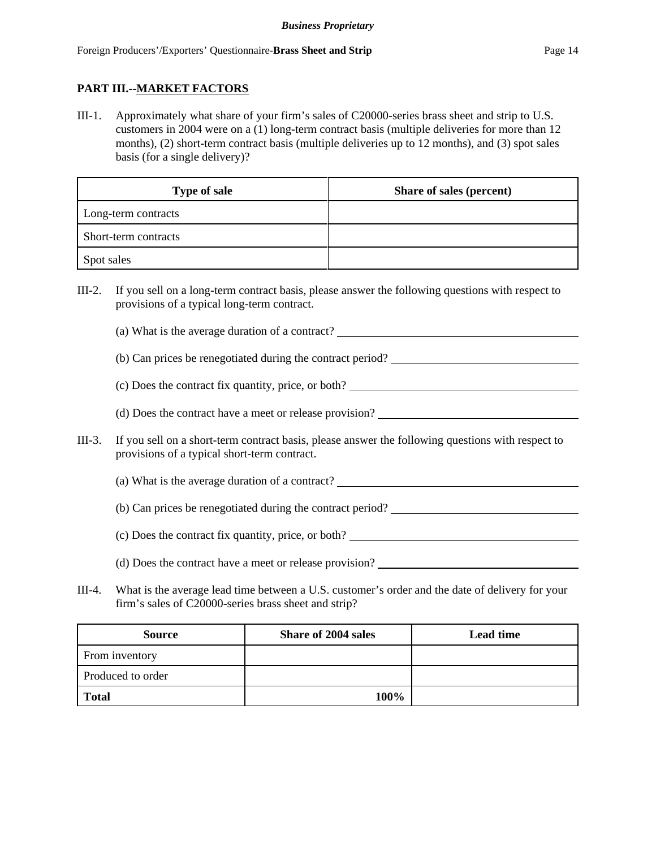## **PART III.--MARKET FACTORS**

III-1. Approximately what share of your firm's sales of C20000-series brass sheet and strip to U.S. customers in 2004 were on a (1) long-term contract basis (multiple deliveries for more than 12 months), (2) short-term contract basis (multiple deliveries up to 12 months), and (3) spot sales basis (for a single delivery)?

| <b>Type of sale</b>  | Share of sales (percent) |
|----------------------|--------------------------|
| Long-term contracts  |                          |
| Short-term contracts |                          |
| Spot sales           |                          |

- III-2. If you sell on a long-term contract basis, please answer the following questions with respect to provisions of a typical long-term contract.
	- (a) What is the average duration of a contract?
	- (b) Can prices be renegotiated during the contract period?
	- (c) Does the contract fix quantity, price, or both?
	- (d) Does the contract have a meet or release provision?
- III-3. If you sell on a short-term contract basis, please answer the following questions with respect to provisions of a typical short-term contract.
	- (a) What is the average duration of a contract?
	- (b) Can prices be renegotiated during the contract period?
	- (c) Does the contract fix quantity, price, or both?
	- (d) Does the contract have a meet or release provision?
- III-4. What is the average lead time between a U.S. customer's order and the date of delivery for your firm's sales of C20000-series brass sheet and strip?

| <b>Source</b>     | <b>Share of 2004 sales</b> | <b>Lead time</b> |
|-------------------|----------------------------|------------------|
| From inventory    |                            |                  |
| Produced to order |                            |                  |
| <b>Total</b>      | 100%                       |                  |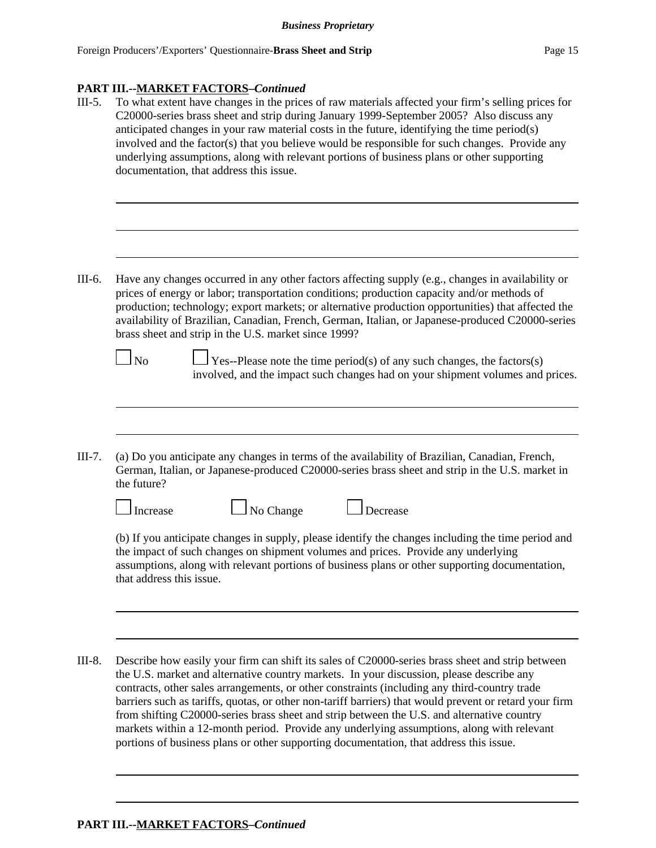## **PART III.--MARKET FACTORS–***Continued*

- III-5. To what extent have changes in the prices of raw materials affected your firm's selling prices for C20000-series brass sheet and strip during January 1999-September 2005? Also discuss any anticipated changes in your raw material costs in the future, identifying the time period(s) involved and the factor(s) that you believe would be responsible for such changes. Provide any underlying assumptions, along with relevant portions of business plans or other supporting documentation, that address this issue. III-6. Have any changes occurred in any other factors affecting supply (e.g., changes in availability or prices of energy or labor; transportation conditions; production capacity and/or methods of production; technology; export markets; or alternative production opportunities) that affected the availability of Brazilian, Canadian, French, German, Italian, or Japanese-produced C20000-series brass sheet and strip in the U.S. market since 1999?  $\Box$  No  $\Box$  Yes--Please note the time period(s) of any such changes, the factors(s) involved, and the impact such changes had on your shipment volumes and prices. III-7. (a) Do you anticipate any changes in terms of the availability of Brazilian, Canadian, French, German, Italian, or Japanese-produced C20000-series brass sheet and strip in the U.S. market in the future?  $\Box$  Increase  $\Box$  No Change  $\Box$  Decrease (b) If you anticipate changes in supply, please identify the changes including the time period and the impact of such changes on shipment volumes and prices. Provide any underlying assumptions, along with relevant portions of business plans or other supporting documentation, that address this issue. III-8. Describe how easily your firm can shift its sales of C20000-series brass sheet and strip between the U.S. market and alternative country markets. In your discussion, please describe any
	- contracts, other sales arrangements, or other constraints (including any third-country trade barriers such as tariffs, quotas, or other non-tariff barriers) that would prevent or retard your firm from shifting C20000-series brass sheet and strip between the U.S. and alternative country markets within a 12-month period. Provide any underlying assumptions, along with relevant portions of business plans or other supporting documentation, that address this issue.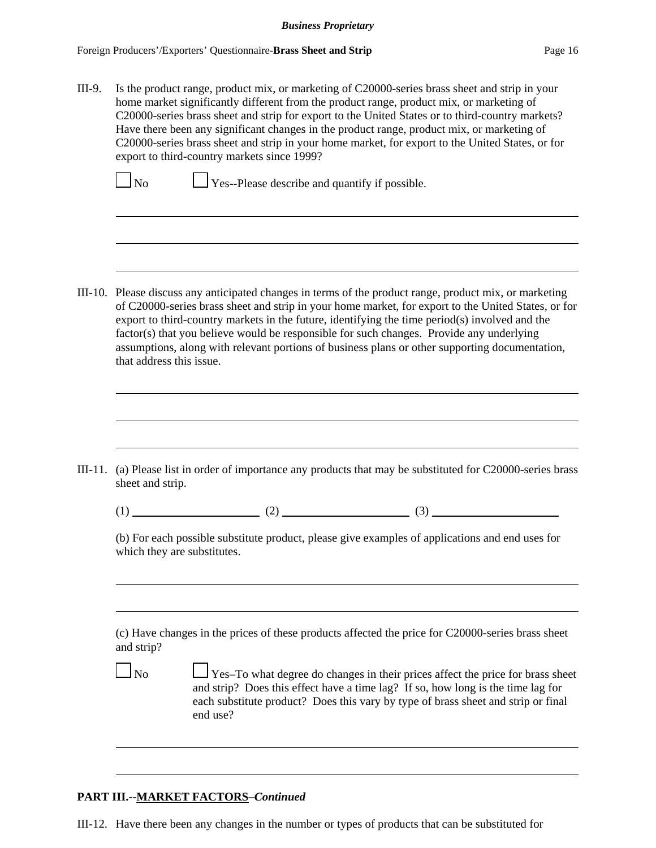III-9. Is the product range, product mix, or marketing of C20000-series brass sheet and strip in your home market significantly different from the product range, product mix, or marketing of C20000-series brass sheet and strip for export to the United States or to third-country markets? Have there been any significant changes in the product range, product mix, or marketing of C20000-series brass sheet and strip in your home market, for export to the United States, or for export to third-country markets since 1999?

 $\Box$  No  $\Box$  Yes--Please describe and quantify if possible.

III-10. Please discuss any anticipated changes in terms of the product range, product mix, or marketing of C20000-series brass sheet and strip in your home market, for export to the United States, or for export to third-country markets in the future, identifying the time period(s) involved and the factor(s) that you believe would be responsible for such changes. Provide any underlying assumptions, along with relevant portions of business plans or other supporting documentation, that address this issue.

III-11. (a) Please list in order of importance any products that may be substituted for C20000-series brass sheet and strip.

 $(1)$  (2) (3)

(b) For each possible substitute product, please give examples of applications and end uses for which they are substitutes.

(c) Have changes in the prices of these products affected the price for C20000-series brass sheet and strip?

 $\Box$  No  $\Box$  Yes–To what degree do changes in their prices affect the price for brass sheet and strip? Does this effect have a time lag? If so, how long is the time lag for each substitute product? Does this vary by type of brass sheet and strip or final end use?

## **PART III.--MARKET FACTORS–***Continued*

III-12. Have there been any changes in the number or types of products that can be substituted for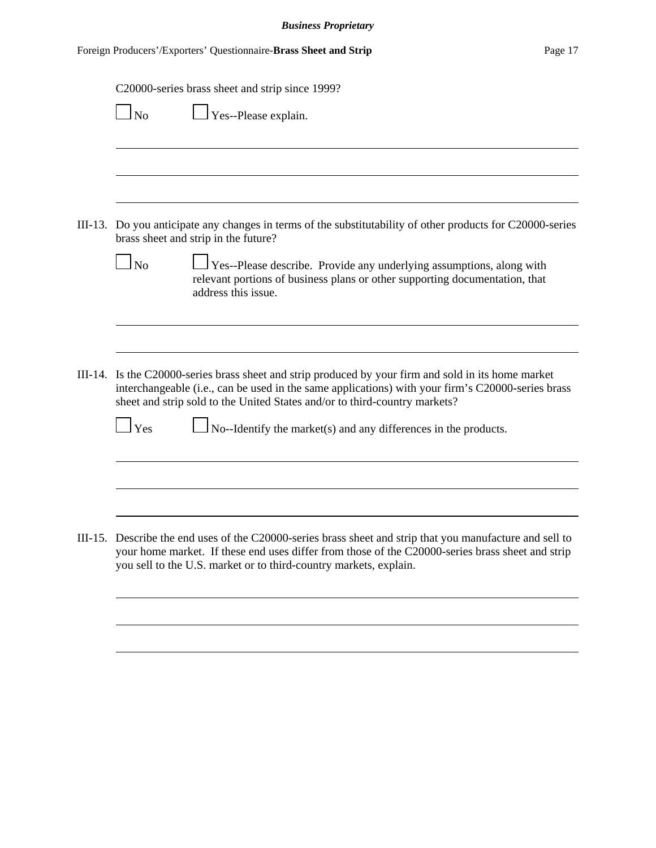| C20000-series brass sheet and strip since 1999?<br>$\overline{\phantom{a}}$ No                                                                                                                                                                                                          |
|-----------------------------------------------------------------------------------------------------------------------------------------------------------------------------------------------------------------------------------------------------------------------------------------|
| Yes--Please explain.                                                                                                                                                                                                                                                                    |
|                                                                                                                                                                                                                                                                                         |
| III-13. Do you anticipate any changes in terms of the substitutability of other products for C20000-series<br>brass sheet and strip in the future?                                                                                                                                      |
| $\overline{N}_{\Omega}$<br>Yes--Please describe. Provide any underlying assumptions, along with<br>relevant portions of business plans or other supporting documentation, that<br>address this issue.                                                                                   |
|                                                                                                                                                                                                                                                                                         |
| III-14. Is the C20000-series brass sheet and strip produced by your firm and sold in its home market<br>interchangeable (i.e., can be used in the same applications) with your firm's C20000-series brass<br>sheet and strip sold to the United States and/or to third-country markets? |
| $1$ Yes<br>No--Identify the market(s) and any differences in the products.                                                                                                                                                                                                              |
|                                                                                                                                                                                                                                                                                         |
| III-15. Describe the end uses of the C20000-series brass sheet and strip that you manufacture and sell to<br>your home market. If these end uses differ from those of the C20000-series brass sheet and strip<br>you sell to the U.S. market or to third-country markets, explain.      |
|                                                                                                                                                                                                                                                                                         |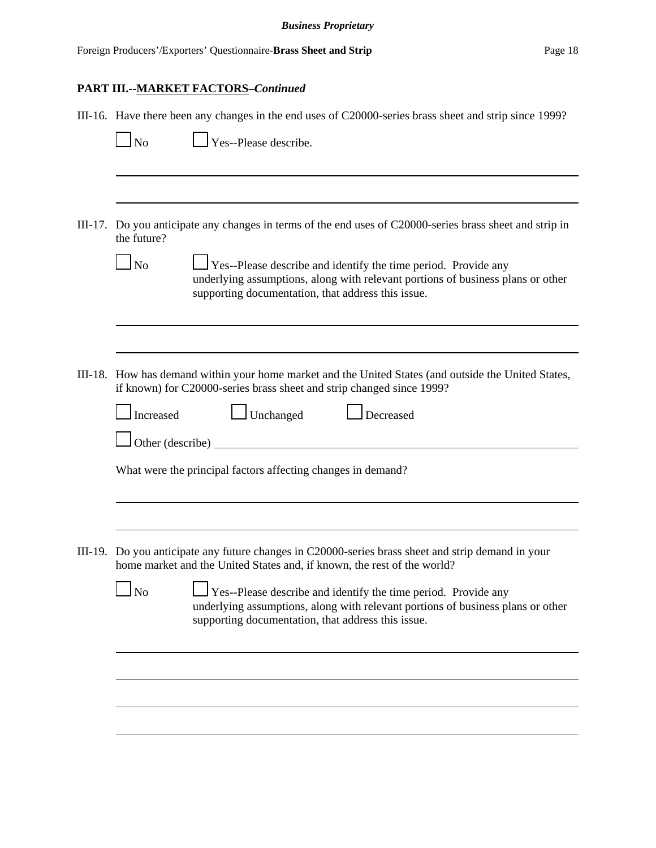# **PART III.--MARKET FACTORS–***Continued*

|         | III-16. Have there been any changes in the end uses of C20000-series brass sheet and strip since 1999?                                                                                                                            |
|---------|-----------------------------------------------------------------------------------------------------------------------------------------------------------------------------------------------------------------------------------|
|         | Yes--Please describe.<br>N <sub>o</sub>                                                                                                                                                                                           |
|         |                                                                                                                                                                                                                                   |
| III-17. | Do you anticipate any changes in terms of the end uses of C20000-series brass sheet and strip in<br>the future?                                                                                                                   |
|         | No<br>Yes--Please describe and identify the time period. Provide any<br>underlying assumptions, along with relevant portions of business plans or other<br>supporting documentation, that address this issue.                     |
|         |                                                                                                                                                                                                                                   |
|         | III-18. How has demand within your home market and the United States (and outside the United States,<br>if known) for C20000-series brass sheet and strip changed since 1999?                                                     |
|         | Unchanged<br>Increased<br>Decreased                                                                                                                                                                                               |
|         | Other (describe)                                                                                                                                                                                                                  |
|         | What were the principal factors affecting changes in demand?                                                                                                                                                                      |
|         |                                                                                                                                                                                                                                   |
|         | III-19. Do you anticipate any future changes in C20000-series brass sheet and strip demand in your<br>home market and the United States and, if known, the rest of the world?                                                     |
|         | $\Box$<br>$\ln$<br><b>Yes--Please describe and identify the time period. Provide any</b><br>underlying assumptions, along with relevant portions of business plans or other<br>supporting documentation, that address this issue. |
|         |                                                                                                                                                                                                                                   |
|         |                                                                                                                                                                                                                                   |
|         |                                                                                                                                                                                                                                   |